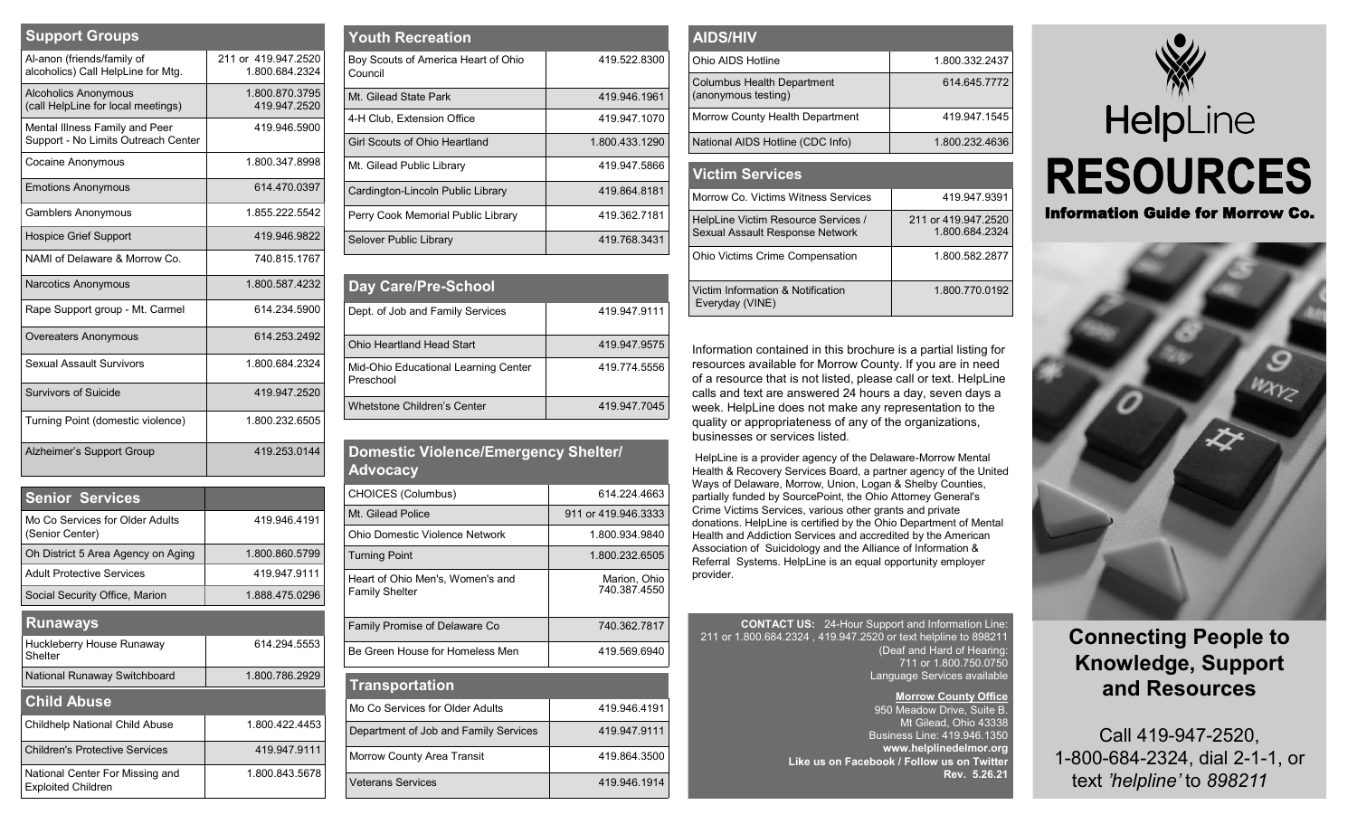| <b>Support Groups</b>                                                 |                                       |
|-----------------------------------------------------------------------|---------------------------------------|
| Al-anon (friends/family of<br>alcoholics) Call HelpLine for Mtg.      | 211 or 419,947,2520<br>1.800.684.2324 |
| <b>Alcoholics Anonymous</b><br>(call HelpLine for local meetings)     | 1.800.870.3795<br>419.947.2520        |
| Mental Illness Family and Peer<br>Support - No Limits Outreach Center | 419.946.5900                          |
| Cocaine Anonymous                                                     | 1.800.347.8998                        |
| <b>Emotions Anonymous</b>                                             | 614.470.0397                          |
| <b>Gamblers Anonymous</b>                                             | 1855 222 5542                         |
| <b>Hospice Grief Support</b>                                          | 419.946.9822                          |
| NAMI of Delaware & Morrow Co.                                         | 740.815.1767                          |
| Narcotics Anonymous                                                   | 1800 587 4232                         |
| Rape Support group - Mt. Carmel                                       | 614.234.5900                          |
| <b>Overeaters Anonymous</b>                                           | 614.253.2492                          |
| Sexual Assault Survivors                                              | 1.800.684.2324                        |
| Survivors of Suicide                                                  | 419 947 2520                          |
| Turning Point (domestic violence)                                     | 1.800.232.6505                        |
| Alzheimer's Support Group                                             | 419 253 0144                          |

| <b>Senior Services</b>                                       |                |
|--------------------------------------------------------------|----------------|
| Mo Co Services for Older Adults<br>(Senior Center)           | 419 946 4191   |
| Oh District 5 Area Agency on Aging                           | 18008605799    |
| <b>Adult Protective Services</b>                             | 419 947 9111   |
| Social Security Office, Marion                               | 1 888 475 0296 |
| <b>Runaways</b>                                              |                |
| Huckleberry House Runaway<br>Shelter                         | 614.294.5553   |
| National Runaway Switchboard                                 | 1.800.786.2929 |
| <b>Child Abuse</b>                                           |                |
| Childhelp National Child Abuse                               | 1.800.422.4453 |
| Children's Protective Services                               | 419 947 9111   |
| National Center For Missing and<br><b>Exploited Children</b> | 1 800 843 5678 |

| <b>Youth Recreation</b>                        |                |
|------------------------------------------------|----------------|
| Boy Scouts of America Heart of Ohio<br>Council | 419 522 8300   |
| Mt Gilead State Park                           | 419.946.1961   |
| 4-H Club. Extension Office                     | 419.947.1070   |
| Girl Scouts of Ohio Heartland                  | 1.800.433.1290 |
| Mt. Gilead Public Library                      | 419.947.5866   |
| Cardington-Lincoln Public Library              | 419 864 8181   |
| Perry Cook Memorial Public Library             | 419 362 7181   |
| Selover Public Library                         | 419.768.3431   |

| Day Care/Pre-School                               |              |
|---------------------------------------------------|--------------|
| Dept. of Job and Family Services                  | 419.947.9111 |
| Ohio Heartland Head Start                         | 419.947.9575 |
| Mid-Ohio Educational Learning Center<br>Preschool | 419.774.5556 |
| Whetstone Children's Center                       | 419.947.7045 |

| Domestic Violence/Emergency Shelter/<br><b>Advocacy</b>   |                              |  |
|-----------------------------------------------------------|------------------------------|--|
| CHOICES (Columbus)                                        | 614 224 4663                 |  |
| Mt Gilead Police                                          | 911 or 419.946.3333          |  |
| Ohio Domestic Violence Network                            | 1.800.934.9840               |  |
| <b>Turning Point</b>                                      | 1.800.232.6505               |  |
| Heart of Ohio Men's, Women's and<br><b>Family Shelter</b> | Marion, Ohio<br>740.387.4550 |  |
| Family Promise of Delaware Co                             | 740 362 7817                 |  |
| Be Green House for Homeless Men                           | 419.569.6940                 |  |
| <b>Transportation</b>                                     |                              |  |
| Mo Co Services for Older Adults                           | 419 946 4191                 |  |
| Department of Job and Family Services                     | 419 947 9111                 |  |
| Morrow County Area Transit                                | 419.864.3500                 |  |
| <b>Veterans Services</b>                                  | 419.946.1914                 |  |
|                                                           |                              |  |

| <b>AIDS/HIV</b>                                          |                |
|----------------------------------------------------------|----------------|
| Ohio AIDS Hotline                                        | 1.800.332.2437 |
| <b>Columbus Health Department</b><br>(anonymous testing) | 614.645.7772   |
| Morrow County Health Department                          | 419.947.1545   |
| National AIDS Hotline (CDC Info)                         | 1.800.232.4636 |

| <b>Victim Services</b>                                                 |                                       |
|------------------------------------------------------------------------|---------------------------------------|
| Morrow Co. Victims Witness Services                                    | 419.947.9391                          |
| HelpLine Victim Resource Services /<br>Sexual Assault Response Network | 211 or 419,947,2520<br>1.800.684.2324 |
| <b>Ohio Victims Crime Compensation</b>                                 | 1800 582 2877                         |
| Victim Information & Notification<br>Everyday (VINE)                   | 1.800.770.0192                        |

Information contained in this brochure is a partial listing for resources available for Morrow County. If you are in need of a resource that is not listed, please call or text. HelpLine calls and text are answered 24 hours a day, seven days a week. HelpLine does not make any representation to the quality or appropriateness of any of the organizations, businesses or services listed*.*

HelpLine is a provider agency of the Delaware-Morrow Mental Health & Recovery Services Board, a partner agency of the United Ways of Delaware, Morrow, Union, Logan & Shelby Counties, partially funded by SourcePoint, the Ohio Attorney General's Crime Victims Services, various other grants and private donations. HelpLine is certified by the Ohio Department of Mental Health and Addiction Services and accredited by the American Association of Suicidology and the Alliance of Information & Referral Systems. HelpLine is an equal opportunity employer provider.

**CONTACT US:** 24-Hour Support and Information Line: 211 or 1.800.684.2324 , 419.947.2520 or text helpline to 898211 (Deaf and Hard of Hearing: 711 or 1.800.750.0750 Language Services available

> **Morrow County Office** 950 Meadow Drive, Suite B. Mt Gilead, Ohio 43338 Business Line: 419.946.1350 **www.helplinedelmor.org Like us on Facebook / Follow us on Twitter Rev. 5.26.21**





## **Connecting People to Knowledge, Support and Resources**

Call 419-947-2520, 1-800-684-2324, dial 2-1-1, or text *'helpline'* to *898211*